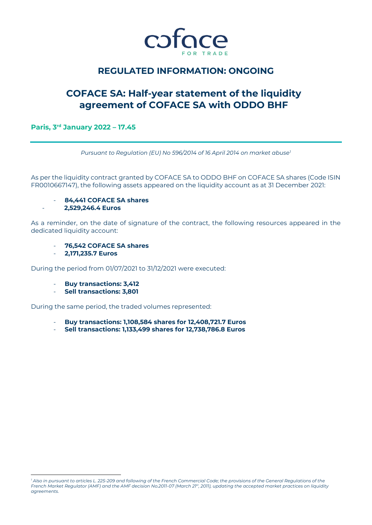

# **REGULATED INFORMATION: ONGOING**

# **COFACE SA: Half-year statement of the liquidity agreement of COFACE SA with ODDO BHF**

## **Paris, 3 rd January 2022 – 17.45**

*Pursuant to Regulation (EU) No 596/2014 of 16 April 2014 on market abuse<sup>1</sup>*

As per the liquidity contract granted by COFACE SA to ODDO BHF on COFACE SA shares (Code ISIN FR0010667147), the following assets appeared on the liquidity account as at 31 December 2021:

- **84,441 COFACE SA shares**

## - **2,529,246.4 Euros**

As a reminder, on the date of signature of the contract, the following resources appeared in the dedicated liquidity account:

- **76,542 COFACE SA shares**
- **2,171,235.7 Euros**

During the period from 01/07/2021 to 31/12/2021 were executed:

- **Buy transactions: 3,412**
- **Sell transactions: 3,801**

During the same period, the traded volumes represented:

- **Buy transactions: 1,108,584 shares for 12,408,721.7 Euros**
- **Sell transactions: 1,133,499 shares for 12,738,786.8 Euros**

l *<sup>1</sup> Also in pursuant to articles L. 225-209 and following of the French Commercial Code; the provisions of the General Regulations of the French Market Regulator (AMF) and the AMF decision No.2011-07 (March 21st, 2011), updating the accepted market practices on liquidity agreements.*